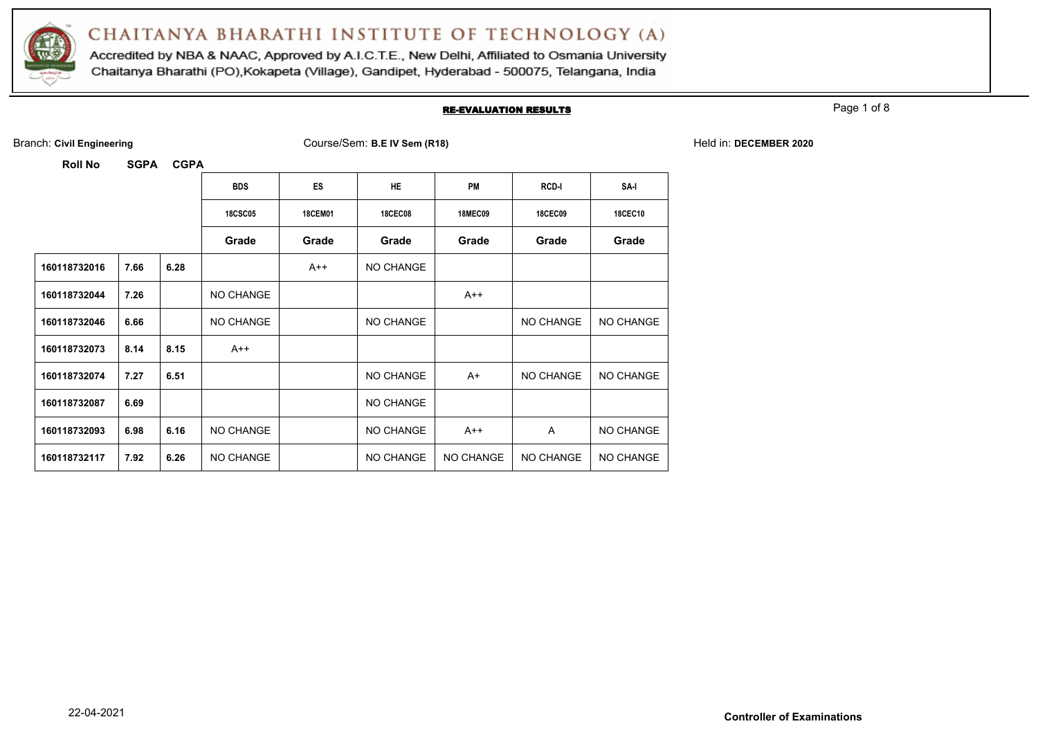

Accredited by NBA & NAAC, Approved by A.I.C.T.E., New Delhi, Affiliated to Osmania University Chaitanya Bharathi (PO), Kokapeta (Village), Gandipet, Hyderabad - 500075, Telangana, India

#### RE-EVALUATION RESULTS

Page 1 of 8

| <b>Roll No</b> | <b>SGPA</b> | <b>CGPA</b> |                |                |                |                |                |                  |
|----------------|-------------|-------------|----------------|----------------|----------------|----------------|----------------|------------------|
|                |             |             | <b>BDS</b>     | ES             | <b>HE</b>      | <b>PM</b>      | <b>RCD-I</b>   | SA-I             |
|                |             |             | <b>18CSC05</b> | <b>18CEM01</b> | <b>18CEC08</b> | <b>18MEC09</b> | <b>18CEC09</b> | <b>18CEC10</b>   |
|                |             |             | Grade          | Grade          | Grade          | Grade          | Grade          | Grade            |
| 160118732016   | 7.66        | 6.28        |                | A++            | NO CHANGE      |                |                |                  |
| 160118732044   | 7.26        |             | NO CHANGE      |                |                | $A++$          |                |                  |
| 160118732046   | 6.66        |             | NO CHANGE      |                | NO CHANGE      |                | NO CHANGE      | NO CHANGE        |
| 160118732073   | 8.14        | 8.15        | $A++$          |                |                |                |                |                  |
| 160118732074   | 7.27        | 6.51        |                |                | NO CHANGE      | A+             | NO CHANGE      | NO CHANGE        |
| 160118732087   | 6.69        |             |                |                | NO CHANGE      |                |                |                  |
| 160118732093   | 6.98        | 6.16        | NO CHANGE      |                | NO CHANGE      | $A++$          | A              | <b>NO CHANGE</b> |
| 160118732117   | 7.92        | 6.26        | NO CHANGE      |                | NO CHANGE      | NO CHANGE      | NO CHANGE      | <b>NO CHANGE</b> |

Branch: **Civil Engineering** Course/Sem: **B.E IV Sem (R18)** Held in: **DECEMBER 2020**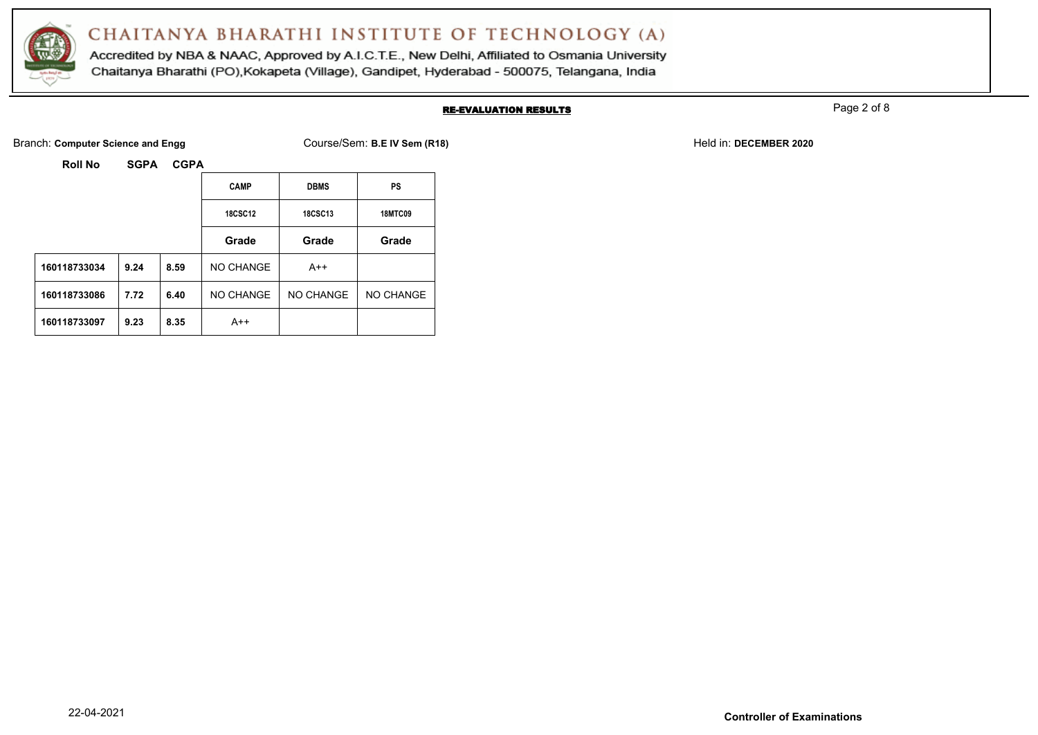

Accredited by NBA & NAAC, Approved by A.I.C.T.E., New Delhi, Affiliated to Osmania University Chaitanya Bharathi (PO), Kokapeta (Village), Gandipet, Hyderabad - 500075, Telangana, India

#### RE-EVALUATION RESULTS

Page 2 of 8

Branch: **Computer Science and Engg** Network: **Course-Course/Sem: B.E IV Sem (R18)** Held in: **DECEMBER 2020** 

|                |             |             |                |                | 500(100)       |
|----------------|-------------|-------------|----------------|----------------|----------------|
| <b>Roll No</b> | <b>SGPA</b> | <b>CGPA</b> |                |                |                |
|                |             |             | <b>CAMP</b>    | <b>DBMS</b>    | PS             |
|                |             |             | <b>18CSC12</b> | <b>18CSC13</b> | <b>18MTC09</b> |
|                |             |             | Grade          | Grade          | Grade          |
| 160118733034   | 9.24        | 8.59        | NO CHANGE      | $A++$          |                |
| 160118733086   | 7.72        | 6.40        | NO CHANGE      | NO CHANGE      | NO CHANGE      |
| 160118733097   | 9.23        | 8.35        | $A++$          |                |                |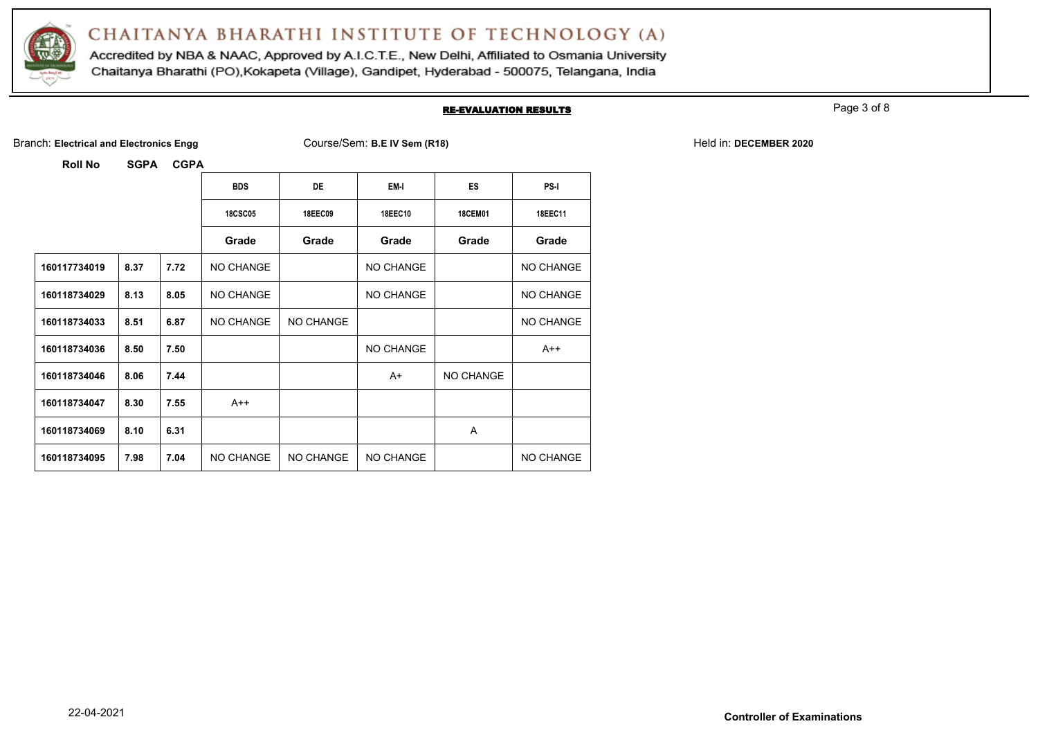

Accredited by NBA & NAAC, Approved by A.I.C.T.E., New Delhi, Affiliated to Osmania University Chaitanya Bharathi (PO), Kokapeta (Village), Gandipet, Hyderabad - 500075, Telangana, India

#### RE-EVALUATION RESULTS

Page 3 of 8

Branch: Electrical and Electronics Engg **Course/Sem: B.E IV Sem (R18)** Held in: DECEMBER 2020

**Roll No SGPA CGPA**

|              |      |      | <b>BDS</b>     | <b>DE</b> | EM-I           | <b>ES</b>      | <b>PS-I</b> |
|--------------|------|------|----------------|-----------|----------------|----------------|-------------|
|              |      |      | <b>18CSC05</b> | 18EEC09   | <b>18EEC10</b> | <b>18CEM01</b> | 18EEC11     |
|              |      |      | Grade          | Grade     | Grade          | Grade          | Grade       |
| 160117734019 | 8.37 | 7.72 | NO CHANGE      |           | NO CHANGE      |                | NO CHANGE   |
| 160118734029 | 8.13 | 8.05 | NO CHANGE      |           | NO CHANGE      |                | NO CHANGE   |
| 160118734033 | 8.51 | 6.87 | NO CHANGE      | NO CHANGE |                |                | NO CHANGE   |
| 160118734036 | 8.50 | 7.50 |                |           | NO CHANGE      |                | $A++$       |
| 160118734046 | 8.06 | 7.44 |                |           | A+             | NO CHANGE      |             |
| 160118734047 | 8.30 | 7.55 | $A++$          |           |                |                |             |
| 160118734069 | 8.10 | 6.31 |                |           |                | A              |             |
| 160118734095 | 7.98 | 7.04 | NO CHANGE      | NO CHANGE | NO CHANGE      |                | NO CHANGE   |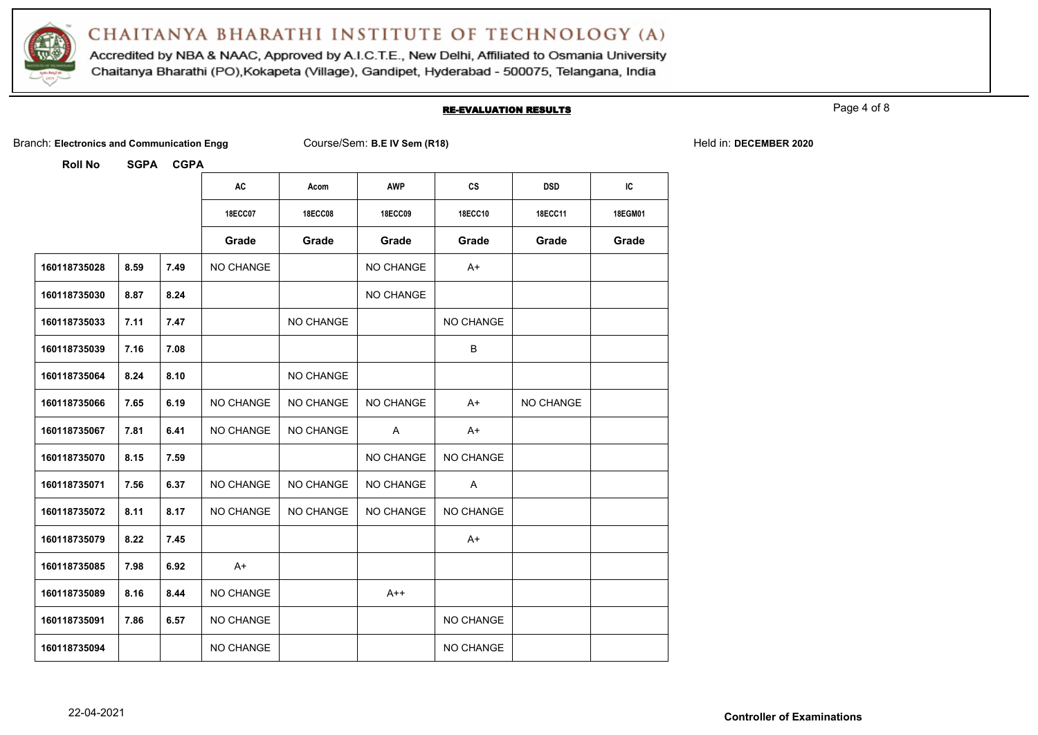

Accredited by NBA & NAAC, Approved by A.I.C.T.E., New Delhi, Affiliated to Osmania University Chaitanya Bharathi (PO), Kokapeta (Village), Gandipet, Hyderabad - 500075, Telangana, India

#### RE-EVALUATION RESULTS

Page 4 of 8

|  | Branch: Electronics and Communication Engg |  |
|--|--------------------------------------------|--|
|  |                                            |  |

Branch: **Electronics and Communication Engg** Course/Sem: **B.E IV Sem (R18)** Held in: **DECEMBER 2020**

| <b>Roll No</b> | <b>SGPA</b> | <b>CGPA</b> |                  |                |                |                |            |         |
|----------------|-------------|-------------|------------------|----------------|----------------|----------------|------------|---------|
|                |             |             | AC               | Acom           | <b>AWP</b>     | cs             | <b>DSD</b> | IC      |
|                |             |             | <b>18ECC07</b>   | <b>18ECC08</b> | <b>18ECC09</b> | <b>18ECC10</b> | 18ECC11    | 18EGM01 |
|                |             |             | Grade            | Grade          | Grade          | Grade          | Grade      | Grade   |
| 160118735028   | 8.59        | 7.49        | NO CHANGE        |                | NO CHANGE      | $A+$           |            |         |
| 160118735030   | 8.87        | 8.24        |                  |                | NO CHANGE      |                |            |         |
| 160118735033   | 7.11        | 7.47        |                  | NO CHANGE      |                | NO CHANGE      |            |         |
| 160118735039   | 7.16        | 7.08        |                  |                |                | B              |            |         |
| 160118735064   | 8.24        | 8.10        |                  | NO CHANGE      |                |                |            |         |
| 160118735066   | 7.65        | 6.19        | NO CHANGE        | NO CHANGE      | NO CHANGE      | $A+$           | NO CHANGE  |         |
| 160118735067   | 7.81        | 6.41        | <b>NO CHANGE</b> | NO CHANGE      | A              | $A+$           |            |         |
| 160118735070   | 8.15        | 7.59        |                  |                | NO CHANGE      | NO CHANGE      |            |         |
| 160118735071   | 7.56        | 6.37        | <b>NO CHANGE</b> | NO CHANGE      | NO CHANGE      | Α              |            |         |
| 160118735072   | 8.11        | 8.17        | <b>NO CHANGE</b> | NO CHANGE      | NO CHANGE      | NO CHANGE      |            |         |
| 160118735079   | 8.22        | 7.45        |                  |                |                | $A+$           |            |         |
| 160118735085   | 7.98        | 6.92        | $A+$             |                |                |                |            |         |
| 160118735089   | 8.16        | 8.44        | NO CHANGE        |                | $A++$          |                |            |         |
| 160118735091   | 7.86        | 6.57        | <b>NO CHANGE</b> |                |                | NO CHANGE      |            |         |
| 160118735094   |             |             | <b>NO CHANGE</b> |                |                | NO CHANGE      |            |         |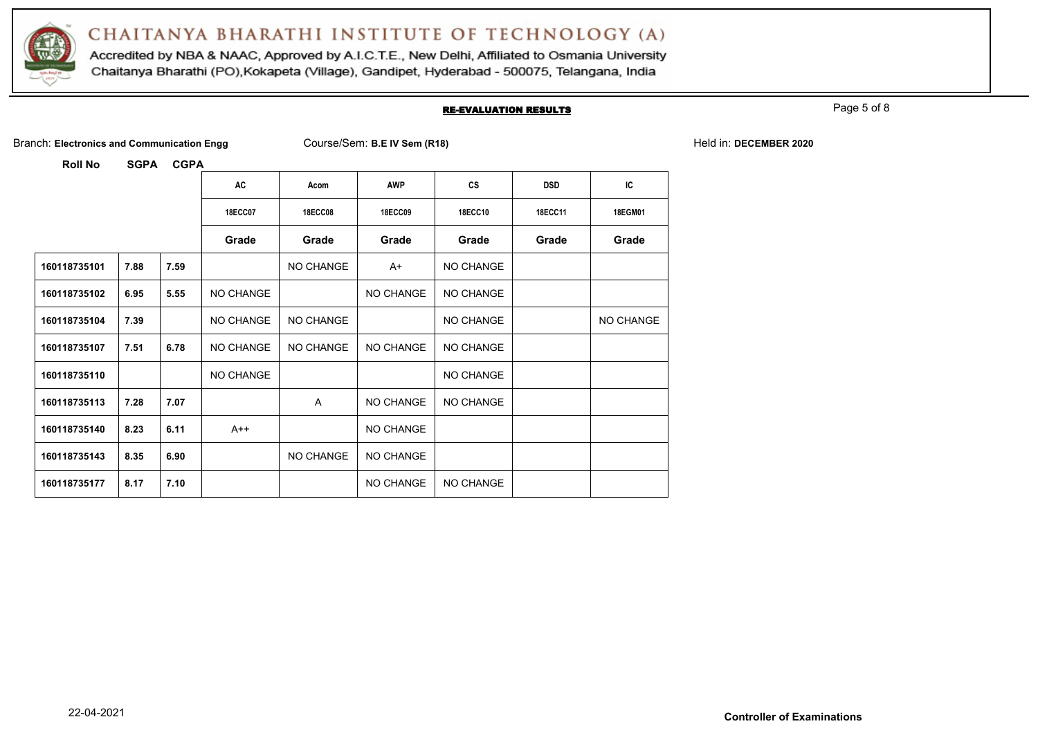

Accredited by NBA & NAAC, Approved by A.I.C.T.E., New Delhi, Affiliated to Osmania University Chaitanya Bharathi (PO), Kokapeta (Village), Gandipet, Hyderabad - 500075, Telangana, India

#### RE-EVALUATION RESULTS

Page 5 of 8

|  | Branch: Electronics and Communication Engg |  |
|--|--------------------------------------------|--|
|  |                                            |  |

Branch: **Electronics and Communication Engg** Course/Sem: **B.E IV Sem (R18)** Held in: **DECEMBER 2020**

| <b>Roll No</b> | <b>SGPA</b> | <b>CGPA</b> |                |                |                |                  |            |           |
|----------------|-------------|-------------|----------------|----------------|----------------|------------------|------------|-----------|
|                |             |             | AC             | Acom           | <b>AWP</b>     | <b>CS</b>        | <b>DSD</b> | IC        |
|                |             |             | <b>18ECC07</b> | <b>18ECC08</b> | <b>18ECC09</b> | <b>18ECC10</b>   | 18ECC11    | 18EGM01   |
|                |             |             | Grade          | Grade          | Grade          | Grade            | Grade      | Grade     |
| 160118735101   | 7.88        | 7.59        |                | NO CHANGE      | A+             | <b>NO CHANGE</b> |            |           |
| 160118735102   | 6.95        | 5.55        | NO CHANGE      |                | NO CHANGE      | <b>NO CHANGE</b> |            |           |
| 160118735104   | 7.39        |             | NO CHANGE      | NO CHANGE      |                | NO CHANGE        |            | NO CHANGE |
| 160118735107   | 7.51        | 6.78        | NO CHANGE      | NO CHANGE      | NO CHANGE      | NO CHANGE        |            |           |
| 160118735110   |             |             | NO CHANGE      |                |                | NO CHANGE        |            |           |
| 160118735113   | 7.28        | 7.07        |                | A              | NO CHANGE      | NO CHANGE        |            |           |
| 160118735140   | 8.23        | 6.11        | $A++$          |                | NO CHANGE      |                  |            |           |
| 160118735143   | 8.35        | 6.90        |                | NO CHANGE      | NO CHANGE      |                  |            |           |
| 160118735177   | 8.17        | 7.10        |                |                | NO CHANGE      | NO CHANGE        |            |           |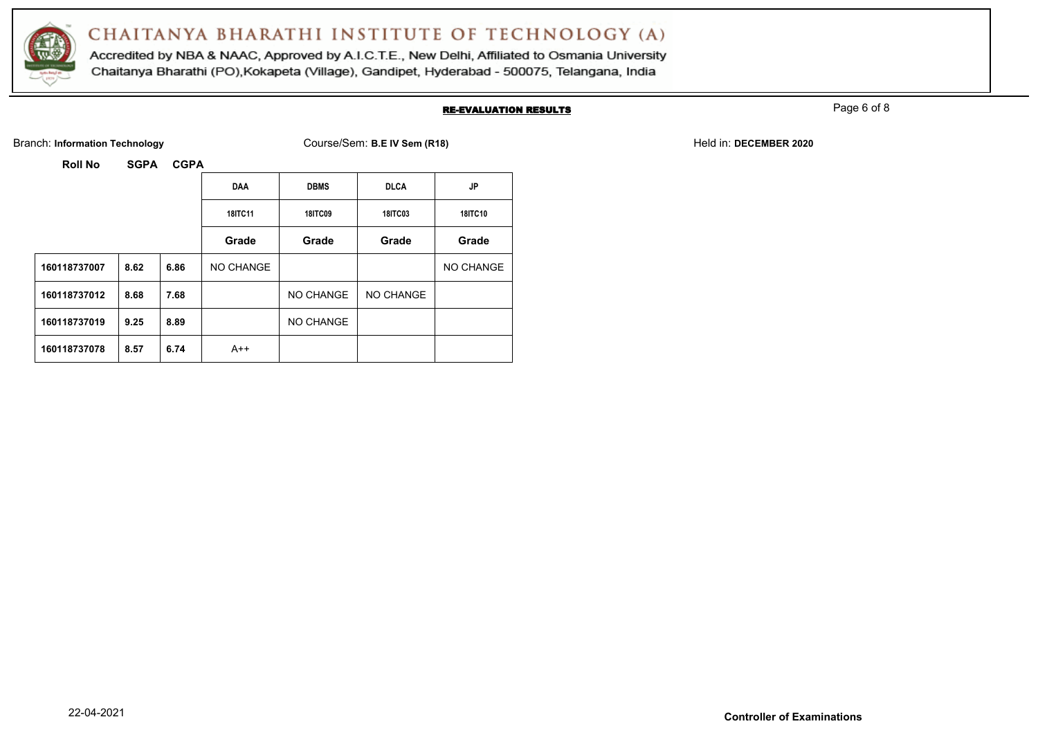

Accredited by NBA & NAAC, Approved by A.I.C.T.E., New Delhi, Affiliated to Osmania University Chaitanya Bharathi (PO), Kokapeta (Village), Gandipet, Hyderabad - 500075, Telangana, India

#### RE-EVALUATION RESULTS

Page 6 of 8

Branch: Information Technology **Course/Sem: B.E IV Sem (R18)** Held in: DECEMBER 2020

**Roll No SGPA CGPA**

|              |      |      | <b>DAA</b>     | <b>DBMS</b>    | <b>DLCA</b>    | <b>JP</b>      |
|--------------|------|------|----------------|----------------|----------------|----------------|
|              |      |      | <b>18ITC11</b> | <b>18ITC09</b> | <b>18ITC03</b> | <b>18ITC10</b> |
|              |      |      | Grade          | Grade          | Grade          | Grade          |
| 160118737007 | 8.62 | 6.86 | NO CHANGE      |                |                | NO CHANGE      |
| 160118737012 | 8.68 | 7.68 |                | NO CHANGE      | NO CHANGE      |                |
| 160118737019 | 9.25 | 8.89 |                | NO CHANGE      |                |                |
| 160118737078 | 8.57 | 6.74 | $A++$          |                |                |                |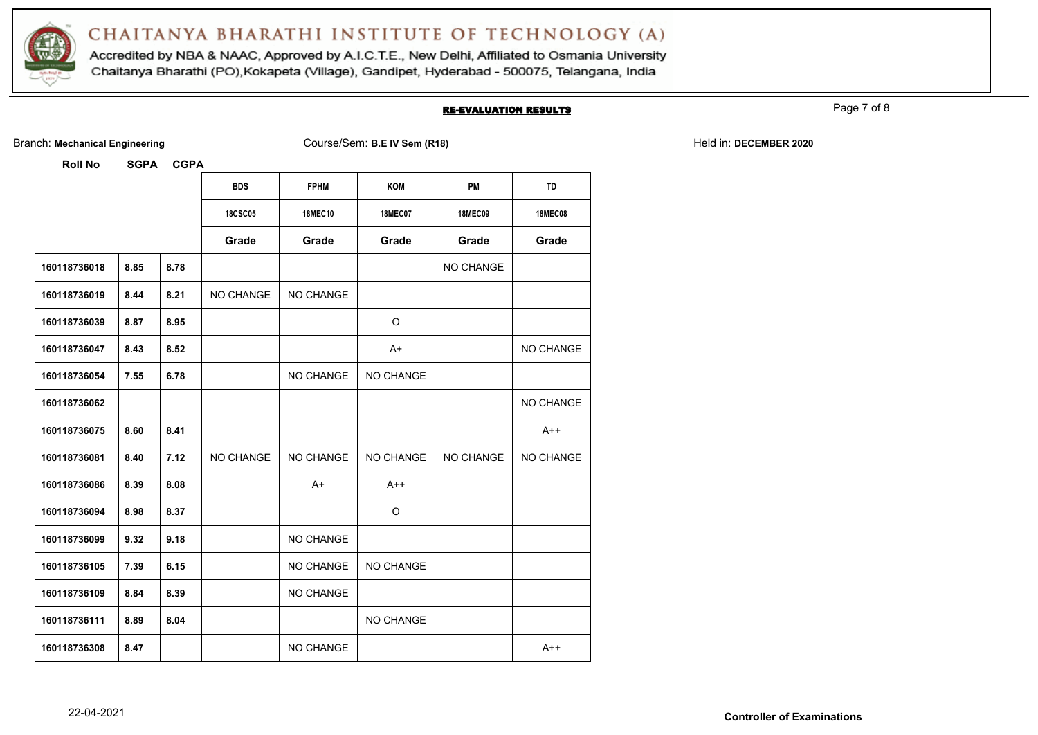

Accredited by NBA & NAAC, Approved by A.I.C.T.E., New Delhi, Affiliated to Osmania University Chaitanya Bharathi (PO), Kokapeta (Village), Gandipet, Hyderabad - 500075, Telangana, India

#### RE-EVALUATION RESULTS

Page 7 of 8

Branch: Mechanical Engineering **Course/Sem: B.E IV Sem (R18)** Held in: DECEMBER 2020

**Roll No SGPA CGPA**

|              |      |      | <b>BDS</b>     | <b>FPHM</b>    | <b>KOM</b>     | PM               | <b>TD</b>        |
|--------------|------|------|----------------|----------------|----------------|------------------|------------------|
|              |      |      | <b>18CSC05</b> | <b>18MEC10</b> | <b>18MEC07</b> | <b>18MEC09</b>   | <b>18MEC08</b>   |
|              |      |      | Grade          | Grade          | Grade          | Grade            | Grade            |
| 160118736018 | 8.85 | 8.78 |                |                |                | <b>NO CHANGE</b> |                  |
| 160118736019 | 8.44 | 8.21 | NO CHANGE      | NO CHANGE      |                |                  |                  |
| 160118736039 | 8.87 | 8.95 |                |                | $\circ$        |                  |                  |
| 160118736047 | 8.43 | 8.52 |                |                | $A+$           |                  | NO CHANGE        |
| 160118736054 | 7.55 | 6.78 |                | NO CHANGE      | NO CHANGE      |                  |                  |
| 160118736062 |      |      |                |                |                |                  | <b>NO CHANGE</b> |
| 160118736075 | 8.60 | 8.41 |                |                |                |                  | $A++$            |
| 160118736081 | 8.40 | 7.12 | NO CHANGE      | NO CHANGE      | NO CHANGE      | NO CHANGE        | NO CHANGE        |
| 160118736086 | 8.39 | 8.08 |                | $A+$           | $A++$          |                  |                  |
| 160118736094 | 8.98 | 8.37 |                |                | $\circ$        |                  |                  |
| 160118736099 | 9.32 | 9.18 |                | NO CHANGE      |                |                  |                  |
| 160118736105 | 7.39 | 6.15 |                | NO CHANGE      | NO CHANGE      |                  |                  |
| 160118736109 | 8.84 | 8.39 |                | NO CHANGE      |                |                  |                  |
| 160118736111 | 8.89 | 8.04 |                |                | NO CHANGE      |                  |                  |
| 160118736308 | 8.47 |      |                | NO CHANGE      |                |                  | $A++$            |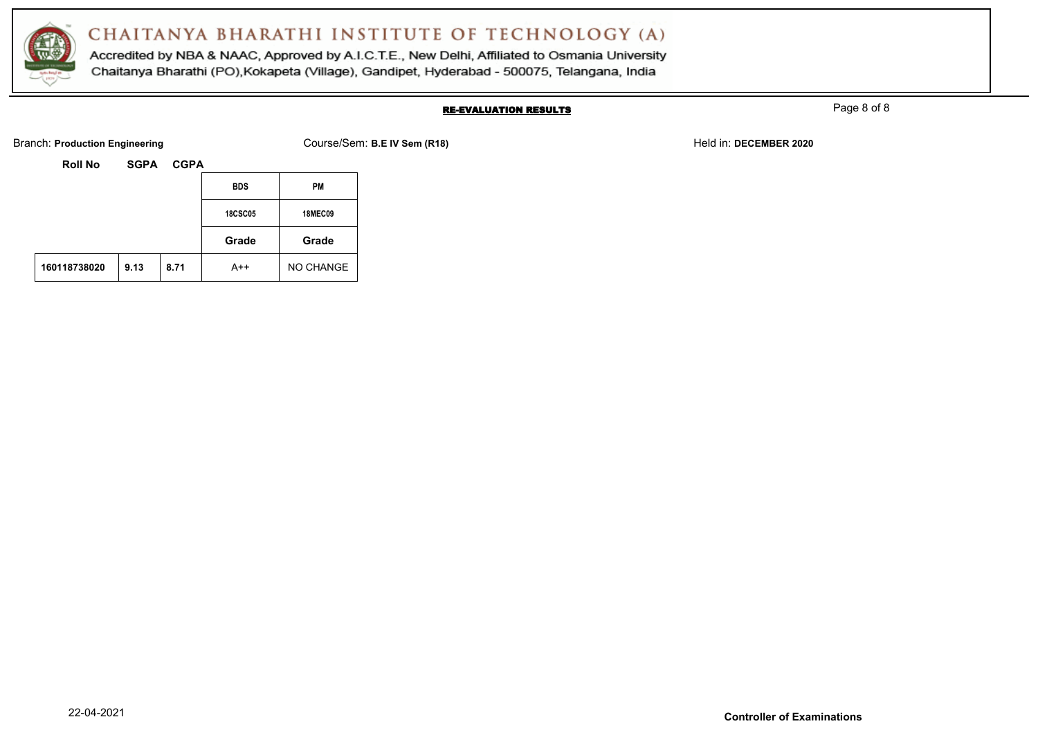

Accredited by NBA & NAAC, Approved by A.I.C.T.E., New Delhi, Affiliated to Osmania University Chaitanya Bharathi (PO), Kokapeta (Village), Gandipet, Hyderabad - 500075, Telangana, India

#### RE-EVALUATION RESULTS

Page 8 of 8

Branch: **Production Engineering The Course/Sem: B.E IV Sem (R18)** Held in: **DECEMBER 2020** Held in: **DECEMBER 2020** 

| Roll No | <b>SGPA</b> | <b>CGPA</b> |
|---------|-------------|-------------|
|         |             |             |

|  | <b>BDS</b>     | <b>PM</b>      |
|--|----------------|----------------|
|  | <b>18CSC05</b> | <b>18MEC09</b> |
|  | Grade          | Grade          |
|  |                |                |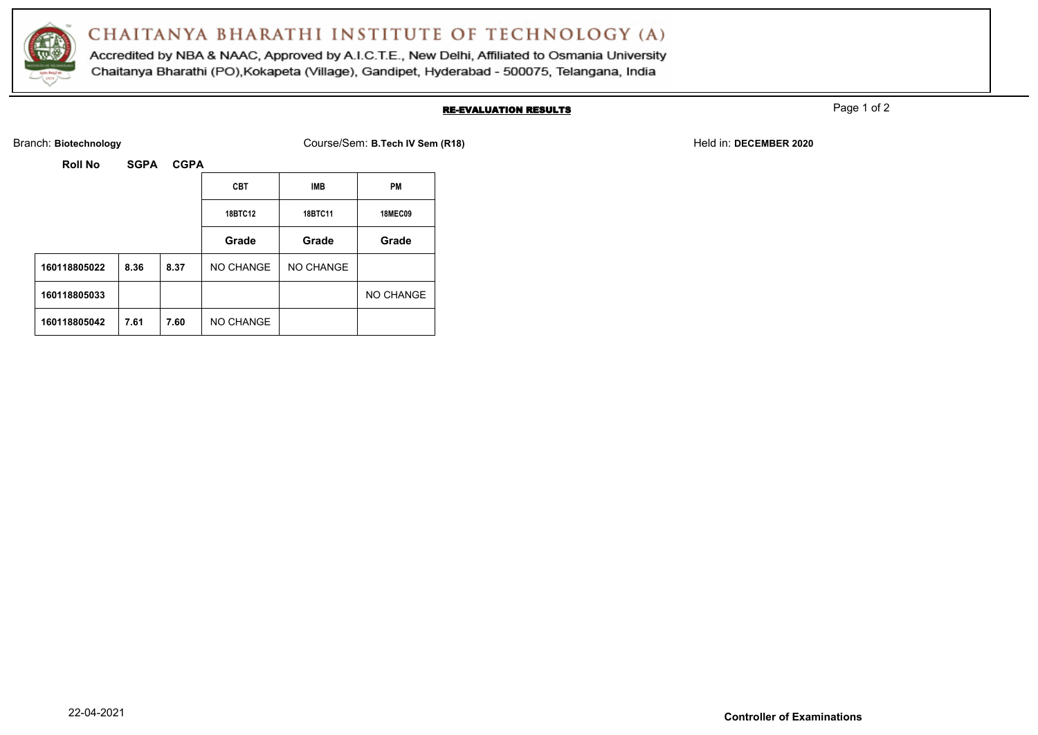

Accredited by NBA & NAAC, Approved by A.I.C.T.E., New Delhi, Affiliated to Osmania University Chaitanya Bharathi (PO), Kokapeta (Village), Gandipet, Hyderabad - 500075, Telangana, India

#### RE-EVALUATION RESULTS

Page 1 of 2

Branch: **Biotechnology** Course/Sem: **B.Tech IV Sem (R18)** Held in: **DECEMBER 2020**

| <b>SGPA</b><br>Roll No | <b>CGPA</b> |  |
|------------------------|-------------|--|
|------------------------|-------------|--|

|              |      | <b>CBT</b> | <b>IMB</b> | <b>PM</b> |                |
|--------------|------|------------|------------|-----------|----------------|
|              |      |            | 18BTC12    | 18BTC11   | <b>18MEC09</b> |
|              |      |            | Grade      | Grade     | Grade          |
| 160118805022 | 8.36 | 8.37       | NO CHANGE  | NO CHANGE |                |
| 160118805033 |      |            |            |           | NO CHANGE      |
| 160118805042 | 7.61 | 7.60       | NO CHANGE  |           |                |